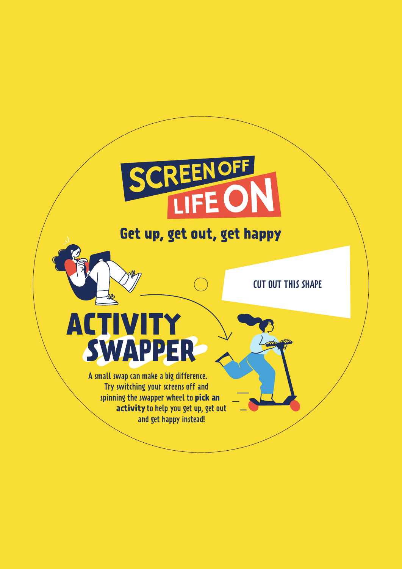## CREENOFF

## Get up, get out, get happy

CUT OUT THIS SHAPE

## **ACTIVITY SWAPPER**

A small swap can make a big difference. Try switching your screens off and spinning the swapper wheel to **pick an activity** to help you get up, get out and get happy instead!